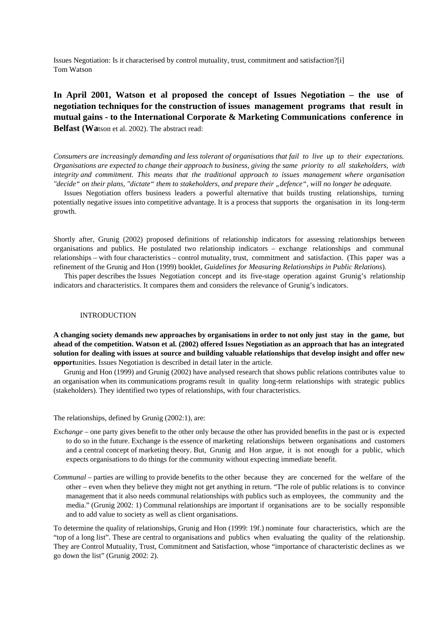Issues Negotiation: Is it characterised by control mutuality, trust, commitment and satisfaction?[i] Tom Watson

**In April 2001, Watson et al proposed the concept of Issues Negotiation – the use of negotiation techniques for the construction of issues management programs that result in mutual gains - to the International Corporate & Marketing Communications conference in Belfast (Wa**tson et al. 2002). The abstract read:

*Consumers are increasingly demanding and less tolerant of organisations that fail to live up to their expectations. Organisations are expected to change their approach to business, giving the same priority to all stakeholders, with integrity and commitment. This means that the traditional approach to issues management where organisation "decide" on their plans, "dictate" them to stakeholders, and prepare their "defence", will no longer be adequate.*

Issues Negotiation offers business leaders a powerful alternative that builds trusting relationships, turning potentially negative issues into competitive advantage. It is a process that supports the organisation in its long-term growth.

Shortly after, Grunig (2002) proposed definitions of relationship indicators for assessing relationships between organisations and publics. He postulated two relationship indicators – exchange relationships and communal relationships – with four characteristics – control mutuality, trust, commitment and satisfaction. (This paper was a refinement of the Grunig and Hon (1999) booklet, *Guidelines for Measuring Relationships in Public Relations*).

This paper describes the Issues Negotiation concept and its five-stage operation against Grunig's relationship indicators and characteristics. It compares them and considers the relevance of Grunig's indicators.

# INTRODUCTION

**A changing society demands new approaches by organisations in order to not only just stay in the game, but ahead of the competition. Watson et al. (2002) offered Issues Negotiation as an approach that has an integrated solution for dealing with issues at source and building valuable relationships that develop insight and offer new opport**unities. Issues Negotiation is described in detail later in the article.

Grunig and Hon (1999) and Grunig (2002) have analysed research that shows public relations contributes value to an organisation when its communications programs result in quality long-term relationships with strategic publics (stakeholders). They identified two types of relationships, with four characteristics.

The relationships, defined by Grunig (2002:1), are:

- *Exchange* one party gives benefit to the other only because the other has provided benefits in the past or is expected to do so in the future. Exchange is the essence of marketing relationships between organisations and customers and a central concept of marketing theory. But, Grunig and Hon argue, it is not enough for a public, which expects organisations to do things for the community without expecting immediate benefit.
- *Communal* parties are willing to provide benefits to the other because they are concerned for the welfare of the other – even when they believe they might not get anything in return. "The role of public relations is to convince management that it also needs communal relationships with publics such as employees, the community and the media." (Grunig 2002: 1) Communal relationships are important if organisations are to be socially responsible and to add value to society as well as client organisations.

To determine the quality of relationships, Grunig and Hon (1999: 19f.) nominate four characteristics, which are the "top of a long list". These are central to organisations and publics when evaluating the quality of the relationship. They are Control Mutuality, Trust, Commitment and Satisfaction, whose "importance of characteristic declines as we go down the list" (Grunig 2002: 2).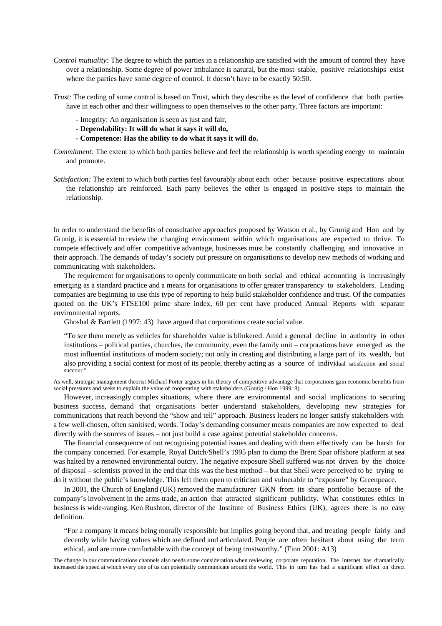- *Control mutuality:* The degree to which the parties in a relationship are satisfied with the amount of control they have over a relationship. Some degree of power imbalance is natural, but the most stable, positive relationships exist where the parties have some degree of control. It doesn't have to be exactly 50:50.
- *Trust:* The ceding of some control is based on Trust, which they describe as the level of confidence that both parties have in each other and their willingness to open themselves to the other party. Three factors are important:
	- Integrity: An organisation is seen as just and fair,
	- **Dependability: It will do what it says it will do,**
	- **Competence: Has the ability to do what it says it will do.**
- *Commitment:* The extent to which both parties believe and feel the relationship is worth spending energy to maintain and promote.
- *Satisfaction:* The extent to which both parties feel favourably about each other because positive expectations about the relationship are reinforced. Each party believes the other is engaged in positive steps to maintain the relationship.

In order to understand the benefits of consultative approaches proposed by Watson et al., by Grunig and Hon and by Grunig, it is essential to review the changing environment within which organisations are expected to thrive. To compete effectively and offer competitive advantage, businesses must be constantly challenging and innovative in their approach. The demands of today's society put pressure on organisations to develop new methods of working and communicating with stakeholders.

The requirement for organisations to openly communicate on both social and ethical accounting is increasingly emerging as a standard practice and a means for organisations to offer greater transparency to stakeholders. Leading companies are beginning to use this type of reporting to help build stakeholder confidence and trust. Of the companies quoted on the UK's FTSE100 prime share index, 60 per cent have produced Annual Reports with separate environmental reports.

Ghoshal & Bartlett (1997: 43) have argued that corporations create social value.

"To see them merely as vehicles for shareholder value is blinkered. Amid a general decline in authority in other institutions – political parties, churches, the community, even the family unit – corporations have emerged as the most influential institutions of modern society; not only in creating and distributing a large part of its wealth, but also providing a social context for most of its people, thereby acting as a source of individual satisfaction and social succour."

As well, strategic management theorist Michael Porter argues in his theory of competitive advantage that corporations gain economic benefits from social pressures and seeks to explain the value of cooperating with stakeholders (Grunig / Hon 1999: 8).

However, increasingly complex situations, where there are environmental and social implications to securing business success, demand that organisations better understand stakeholders, developing new strategies for communications that reach beyond the "show and tell" approach. Business leaders no longer satisfy stakeholders with a few well-chosen, often sanitised, words. Today's demanding consumer means companies are now expected to deal directly with the sources of issues – not just build a case against potential stakeholder concerns.

The financial consequence of not recognising potential issues and dealing with them effectively can be harsh for the company concerned. For example, Royal Dutch/Shell's 1995 plan to dump the Brent Spar offshore platform at sea was halted by a renowned environmental outcry. The negative exposure Shell suffered was not driven by the choice of disposal – scientists proved in the end that this was the best method – but that Shell were perceived to be trying to do it without the public's knowledge. This left them open to criticism and vulnerable to "exposure" by Greenpeace.

In 2001, the Church of England (UK) removed the manufacturer GKN from its share portfolio because of the company's involvement in the arms trade, an action that attracted significant publicity. What constitutes ethics in business is wide-ranging. Ken Rushton, director of the Institute of Business Ethics (UK), agrees there is no easy definition.

"For a company it means being morally responsible but implies going beyond that, and treating people fairly and decently while having values which are defined and articulated. People are often hesitant about using the term ethical, and are more comfortable with the concept of being trustworthy." (Finn 2001: A13)

The change in our communications channels also needs some consideration when reviewing corporate reputation. The Internet has dramatically increased the speed at which every one of us can potentially communicate around the world. This in turn has had a significant effect on direct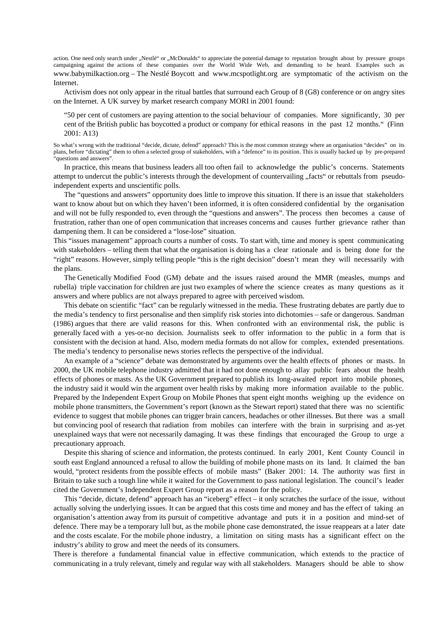action. One need only search under "Nestlé" or "McDonalds" to appreciate the potential damage to reputation brought about by pressure groups campaigning against the actions of these companies over the World Wide Web, and demanding to be heard. Examples such as www.babymilkaction.org – The Nestlé Boycott and www.mcspotlight.org are symptomatic of the activism on the Internet.

Activism does not only appear in the ritual battles that surround each Group of 8 (G8) conference or on angry sites on the Internet. A UK survey by market research company MORI in 2001 found:

"50 per cent of customers are paying attention to the social behaviour of companies. More significantly, 30 per cent of the British public has boycotted a product or company for ethical reasons in the past 12 months." (Finn 2001: A13)

So what's wrong with the traditional "decide, dictate, defend" approach? This is the most common strategy where an organisation "decides" on its plans, before "dictating" them to often a selected group of stakeholders, with a "defence" to its position. This is usually backed up by pre-prepared "questions and answers".

In practice, this means that business leaders all too often fail to acknowledge the public's concerns. Statements attempt to undercut the public's interests through the development of countervailing "facts" or rebuttals from pseudoindependent experts and unscientific polls.

The "questions and answers" opportunity does little to improve this situation. If there is an issue that stakeholders want to know about but on which they haven't been informed, it is often considered confidential by the organisation and will not be fully responded to, even through the "questions and answers". The process then becomes a cause of frustration, rather than one of open communication that increases concerns and causes further grievance rather than dampening them. It can be considered a "lose-lose" situation.

This "issues management" approach courts a number of costs. To start with, time and money is spent communicating with stakeholders – telling them that what the organisation is doing has a clear rationale and is being done for the "right" reasons. However, simply telling people "this is the right decision" doesn't mean they will necessarily with the plans.

The Genetically Modified Food (GM) debate and the issues raised around the MMR (measles, mumps and rubella) triple vaccination for children are just two examples of where the science creates as many questions as it answers and where publics are not always prepared to agree with perceived wisdom.

This debate on scientific "fact" can be regularly witnessed in the media. These frustrating debates are partly due to the media's tendency to first personalise and then simplify risk stories into dichotomies – safe or dangerous. Sandman (1986) argues that there are valid reasons for this. When confronted with an environmental risk, the public is generally faced with a yes-or-no decision. Journalists seek to offer information to the public in a form that is consistent with the decision at hand. Also, modern media formats do not allow for complex, extended presentations. The media's tendency to personalise news stories reflects the perspective of the individual.

An example of a "science" debate was demonstrated by arguments over the health effects of phones or masts. In 2000, the UK mobile telephone industry admitted that it had not done enough to allay public fears about the health effects of phones or masts. As the UK Government prepared to publish its long-awaited report into mobile phones, the industry said it would win the argument over health risks by making more information available to the public. Prepared by the Independent Expert Group on Mobile Phones that spent eight months weighing up the evidence on mobile phone transmitters, the Government's report (known as the Stewart report) stated that there was no scientific evidence to suggest that mobile phones can trigger brain cancers, headaches or other illnesses. But there was a small but convincing pool of research that radiation from mobiles can interfere with the brain in surprising and as-yet unexplained ways that were not necessarily damaging. It was these findings that encouraged the Group to urge a precautionary approach.

Despite this sharing of science and information, the protests continued. In early 2001, Kent County Council in south east England announced a refusal to allow the building of mobile phone masts on its land. It claimed the ban would, "protect residents from the possible effects of mobile masts" (Baker 2001: 14*.* The authority was first in Britain to take such a tough line while it waited for the Government to pass national legislation. The council's leader cited the Government's Independent Expert Group report as a reason for the policy.

This "decide, dictate, defend" approach has an "iceberg" effect – it only scratches the surface of the issue, without actually solving the underlying issues. It can be argued that this costs time and money and has the effect of taking an organisation's attention away from its pursuit of competitive advantage and puts it in a position and mind-set of defence. There may be a temporary lull but, as the mobile phone case demonstrated, the issue reappears at a later date and the costs escalate. For the mobile phone industry, a limitation on siting masts has a significant effect on the industry's ability to grow and meet the needs of its consumers.

There is therefore a fundamental financial value in effective communication, which extends to the practice of communicating in a truly relevant, timely and regular way with all stakeholders. Managers should be able to show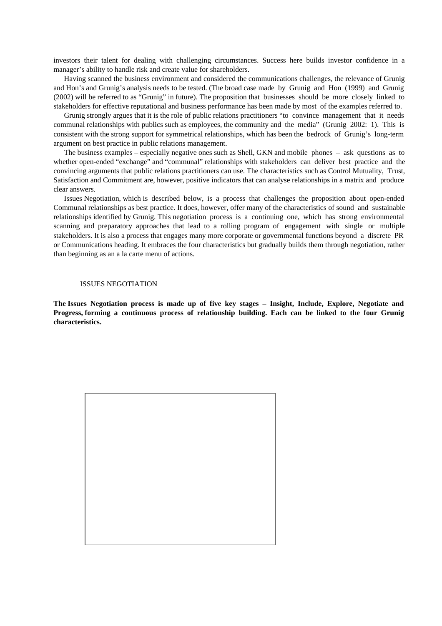investors their talent for dealing with challenging circumstances. Success here builds investor confidence in a manager's ability to handle risk and create value for shareholders.

Having scanned the business environment and considered the communications challenges, the relevance of Grunig and Hon's and Grunig's analysis needs to be tested. (The broad case made by Grunig and Hon (1999) and Grunig (2002) will be referred to as "Grunig" in future). The proposition that businesses should be more closely linked to stakeholders for effective reputational and business performance has been made by most of the examples referred to.

Grunig strongly argues that it is the role of public relations practitioners "to convince management that it needs communal relationships with publics such as employees, the community and the media" (Grunig 2002: 1). This is consistent with the strong support for symmetrical relationships, which has been the bedrock of Grunig's long-term argument on best practice in public relations management.

The business examples – especially negative ones such as Shell, GKN and mobile phones – ask questions as to whether open-ended "exchange" and "communal" relationships with stakeholders can deliver best practice and the convincing arguments that public relations practitioners can use. The characteristics such as Control Mutuality, Trust, Satisfaction and Commitment are, however, positive indicators that can analyse relationships in a matrix and produce clear answers.

Issues Negotiation, which is described below, is a process that challenges the proposition about open-ended Communal relationships as best practice. It does, however, offer many of the characteristics of sound and sustainable relationships identified by Grunig. This negotiation process is a continuing one, which has strong environmental scanning and preparatory approaches that lead to a rolling program of engagement with single or multiple stakeholders. It is also a process that engages many more corporate or governmental functions beyond a discrete PR or Communications heading. It embraces the four characteristics but gradually builds them through negotiation, rather than beginning as an a la carte menu of actions.

# ISSUES NEGOTIATION

**The Issues Negotiation process is made up of five key stages – Insight, Include, Explore, Negotiate and Progress, forming a continuous process of relationship building. Each can be linked to the four Grunig characteristics.**

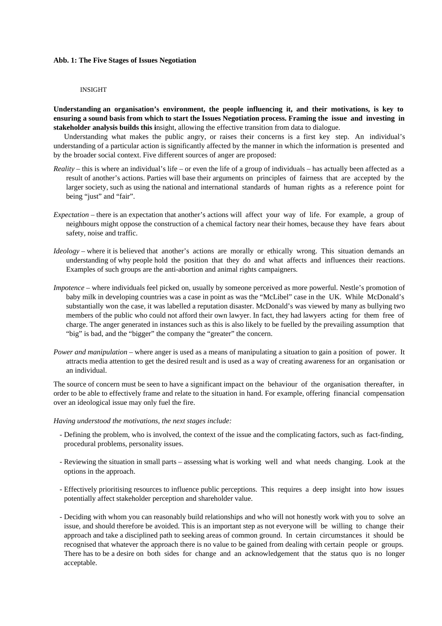#### **Abb. 1: The Five Stages of Issues Negotiation**

#### INSIGHT

**Understanding an organisation's environment, the people influencing it, and their motivations, is key to ensuring a sound basis from which to start the Issues Negotiation process. Framing the issue and investing in stakeholder analysis builds this i**nsight, allowing the effective transition from data to dialogue.

Understanding what makes the public angry, or raises their concerns is a first key step. An individual's understanding of a particular action is significantly affected by the manner in which the information is presented and by the broader social context. Five different sources of anger are proposed:

- *Reality* this is where an individual's life or even the life of a group of individuals has actually been affected as a result of another's actions. Parties will base their arguments on principles of fairness that are accepted by the larger society, such as using the national and international standards of human rights as a reference point for being "just" and "fair".
- *Expectation* there is an expectation that another's actions will affect your way of life. For example, a group of neighbours might oppose the construction of a chemical factory near their homes, because they have fears about safety, noise and traffic.
- *Ideology* where it is believed that another's actions are morally or ethically wrong. This situation demands an understanding of why people hold the position that they do and what affects and influences their reactions. Examples of such groups are the anti-abortion and animal rights campaigners.
- *Impotence* where individuals feel picked on, usually by someone perceived as more powerful. Nestle's promotion of baby milk in developing countries was a case in point as was the "McLibel" case in the UK. While McDonald's substantially won the case, it was labelled a reputation disaster. McDonald's was viewed by many as bullying two members of the public who could not afford their own lawyer. In fact, they had lawyers acting for them free of charge. The anger generated in instances such as this is also likely to be fuelled by the prevailing assumption that "big" is bad, and the "bigger" the company the "greater" the concern.
- *Power and manipulation* where anger is used as a means of manipulating a situation to gain a position of power. It attracts media attention to get the desired result and is used as a way of creating awareness for an organisation or an individual.

The source of concern must be seen to have a significant impact on the behaviour of the organisation thereafter, in order to be able to effectively frame and relate to the situation in hand. For example, offering financial compensation over an ideological issue may only fuel the fire.

#### *Having understood the motivations, the next stages include:*

- Defining the problem, who is involved, the context of the issue and the complicating factors, such as fact-finding, procedural problems, personality issues.
- Reviewing the situation in small parts assessing what is working well and what needs changing. Look at the options in the approach.
- Effectively prioritising resources to influence public perceptions. This requires a deep insight into how issues potentially affect stakeholder perception and shareholder value.
- Deciding with whom you can reasonably build relationships and who will not honestly work with you to solve an issue, and should therefore be avoided. This is an important step as not everyone will be willing to change their approach and take a disciplined path to seeking areas of common ground. In certain circumstances it should be recognised that whatever the approach there is no value to be gained from dealing with certain people or groups. There has to be a desire on both sides for change and an acknowledgement that the status quo is no longer acceptable.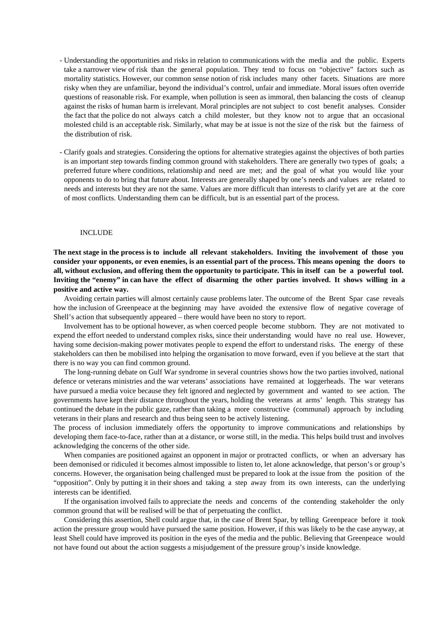- Understanding the opportunities and risks in relation to communications with the media and the public. Experts take a narrower view of risk than the general population. They tend to focus on "objective" factors such as mortality statistics. However, our common sense notion of risk includes many other facets. Situations are more risky when they are unfamiliar, beyond the individual's control, unfair and immediate. Moral issues often override questions of reasonable risk. For example, when pollution is seen as immoral, then balancing the costs of cleanup against the risks of human harm is irrelevant. Moral principles are not subject to cost benefit analyses. Consider the fact that the police do not always catch a child molester, but they know not to argue that an occasional molested child is an acceptable risk. Similarly, what may be at issue is not the size of the risk but the fairness of the distribution of risk.
- Clarify goals and strategies. Considering the options for alternative strategies against the objectives of both parties is an important step towards finding common ground with stakeholders. There are generally two types of goals; a preferred future where conditions, relationship and need are met; and the goal of what you would like your opponents to do to bring that future about. Interests are generally shaped by one's needs and values are related to needs and interests but they are not the same. Values are more difficult than interests to clarify yet are at the core of most conflicts. Understanding them can be difficult, but is an essential part of the process.

#### INCLUDE

**The next stage in the process is to include all relevant stakeholders. Inviting the involvement of those you consider your opponents, or even enemies, is an essential part of the process. This means opening the doors to all, without exclusion, and offering them the opportunity to participate. This in itself can be a powerful tool. Inviting the "enemy" in can have the effect of disarming the other parties involved. It shows willing in a positive and active way.**

Avoiding certain parties will almost certainly cause problems later. The outcome of the Brent Spar case reveals how the inclusion of Greenpeace at the beginning may have avoided the extensive flow of negative coverage of Shell's action that subsequently appeared – there would have been no story to report.

Involvement has to be optional however, as when coerced people become stubborn. They are not motivated to expend the effort needed to understand complex risks, since their understanding would have no real use. However, having some decision-making power motivates people to expend the effort to understand risks. The energy of these stakeholders can then be mobilised into helping the organisation to move forward, even if you believe at the start that there is no way you can find common ground.

The long-running debate on Gulf War syndrome in several countries shows how the two parties involved, national defence or veterans ministries and the war veterans' associations have remained at loggerheads. The war veterans have pursued a media voice because they felt ignored and neglected by government and wanted to see action. The governments have kept their distance throughout the years, holding the veterans at arms' length. This strategy has continued the debate in the public gaze, rather than taking a more constructive (communal) approach by including veterans in their plans and research and thus being seen to be actively listening.

The process of inclusion immediately offers the opportunity to improve communications and relationships by developing them face-to-face, rather than at a distance, or worse still, in the media. This helps build trust and involves acknowledging the concerns of the other side.

When companies are positioned against an opponent in major or protracted conflicts, or when an adversary has been demonised or ridiculed it becomes almost impossible to listen to, let alone acknowledge, that person's or group's concerns. However, the organisation being challenged must be prepared to look at the issue from the position of the "opposition". Only by putting it in their shoes and taking a step away from its own interests, can the underlying interests can be identified.

If the organisation involved fails to appreciate the needs and concerns of the contending stakeholder the only common ground that will be realised will be that of perpetuating the conflict.

Considering this assertion, Shell could argue that, in the case of Brent Spar, by telling Greenpeace before it took action the pressure group would have pursued the same position. However, if this was likely to be the case anyway, at least Shell could have improved its position in the eyes of the media and the public. Believing that Greenpeace would not have found out about the action suggests a misjudgement of the pressure group's inside knowledge.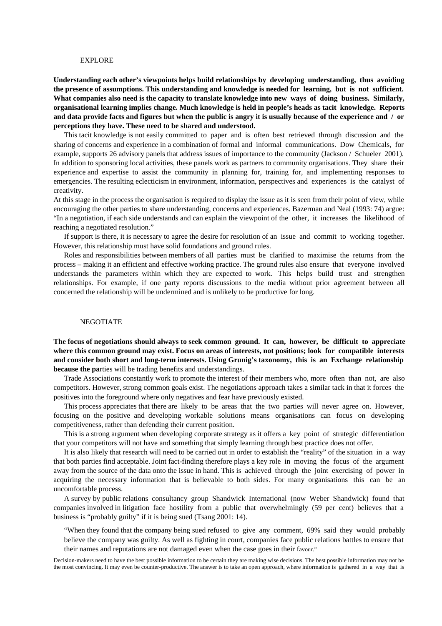# EXPLORE

**Understanding each other's viewpoints helps build relationships by developing understanding, thus avoiding the presence of assumptions. This understanding and knowledge is needed for learning, but is not sufficient. What companies also need is the capacity to translate knowledge into new ways of doing business. Similarly, organisational learning implies change. Much knowledge is held in people's heads as tacit knowledge. Reports and data provide facts and figures but when the public is angry it is usually because of the experience and / or perceptions they have. These need to be shared and understood.**

This tacit knowledge is not easily committed to paper and is often best retrieved through discussion and the sharing of concerns and experience in a combination of formal and informal communications. Dow Chemicals, for example, supports 26 advisory panels that address issues of importance to the community (Jackson / Schueler 2001). In addition to sponsoring local activities, these panels work as partners to community organisations. They share their experience and expertise to assist the community in planning for, training for, and implementing responses to emergencies. The resulting eclecticism in environment, information, perspectives and experiences is the catalyst of creativity.

At this stage in the process the organisation is required to display the issue as it is seen from their point of view, while encouraging the other parties to share understanding, concerns and experiences. Bazerman and Neal (1993: 74) argue: "In a negotiation, if each side understands and can explain the viewpoint of the other, it increases the likelihood of reaching a negotiated resolution."

If support is there, it is necessary to agree the desire for resolution of an issue and commit to working together. However, this relationship must have solid foundations and ground rules.

Roles and responsibilities between members of all parties must be clarified to maximise the returns from the process – making it an efficient and effective working practice. The ground rules also ensure that everyone involved understands the parameters within which they are expected to work. This helps build trust and strengthen relationships. For example, if one party reports discussions to the media without prior agreement between all concerned the relationship will be undermined and is unlikely to be productive for long.

# NEGOTIATE

**The focus of negotiations should always to seek common ground. It can, however, be difficult to appreciate where this common ground may exist. Focus on areas of interests, not positions; look for compatible interests and consider both short and long-term interests. Using Grunig's taxonomy, this is an Exchange relationship because the pa**rties will be trading benefits and understandings.

Trade Associations constantly work to promote the interest of their members who, more often than not, are also competitors. However, strong common goals exist. The negotiations approach takes a similar tack in that it forces the positives into the foreground where only negatives and fear have previously existed.

This process appreciates that there are likely to be areas that the two parties will never agree on. However, focusing on the positive and developing workable solutions means organisations can focus on developing competitiveness, rather than defending their current position.

This is a strong argument when developing corporate strategy as it offers a key point of strategic differentiation that your competitors will not have and something that simply learning through best practice does not offer.

It is also likely that research will need to be carried out in order to establish the "reality" of the situation in a way that both parties find acceptable. Joint fact-finding therefore plays a key role in moving the focus of the argument away from the source of the data onto the issue in hand. This is achieved through the joint exercising of power in acquiring the necessary information that is believable to both sides. For many organisations this can be an uncomfortable process.

A survey by public relations consultancy group Shandwick International (now Weber Shandwick) found that companies involved in litigation face hostility from a public that overwhelmingly (59 per cent) believes that a business is "probably guilty" if it is being sued (Tsang 2001: 14).

"When they found that the company being sued refused to give any comment, 69% said they would probably believe the company was guilty. As well as fighting in court, companies face public relations battles to ensure that their names and reputations are not damaged even when the case goes in their favour."

Decision-makers need to have the best possible information to be certain they are making wise decisions. The best possible information may not be the most convincing. It may even be counter-productive. The answer is to take an open approach, where information is gathered in a way that is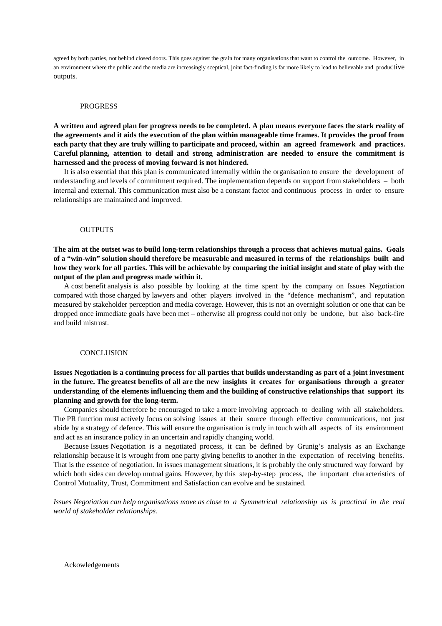agreed by both parties, not behind closed doors. This goes against the grain for many organisations that want to control the outcome. However, in an environment where the public and the media are increasingly sceptical, joint fact-finding is far more likely to lead to believable and productive outputs.

#### PROGRESS

**A written and agreed plan for progress needs to be completed. A plan means everyone faces the stark reality of the agreements and it aids the execution of the plan within manageable time frames. It provides the proof from each party that they are truly willing to participate and proceed, within an agreed framework and practices. Careful planning, attention to detail and strong administration are needed to ensure the commitment is harnessed and the process of moving forward is not hindered.**

It is also essential that this plan is communicated internally within the organisation to ensure the development of understanding and levels of commitment required. The implementation depends on support from stakeholders – both internal and external. This communication must also be a constant factor and continuous process in order to ensure relationships are maintained and improved.

#### **OUTPUTS**

**The aim at the outset was to build long-term relationships through a process that achieves mutual gains. Goals of a "win-win" solution should therefore be measurable and measured in terms of the relationships built and how they work for all parties. This will be achievable by comparing the initial insight and state of play with the output of the plan and progress made within it.**

A cost benefit analysis is also possible by looking at the time spent by the company on Issues Negotiation compared with those charged by lawyers and other players involved in the "defence mechanism", and reputation measured by stakeholder perception and media coverage. However, this is not an overnight solution or one that can be dropped once immediate goals have been met – otherwise all progress could not only be undone, but also back-fire and build mistrust.

# **CONCLUSION**

**Issues Negotiation is a continuing process for all parties that builds understanding as part of a joint investment in the future. The greatest benefits of all are the new insights it creates for organisations through a greater understanding of the elements influencing them and the building of constructive relationships that support its planning and growth for the long-term.**

Companies should therefore be encouraged to take a more involving approach to dealing with all stakeholders. The PR function must actively focus on solving issues at their source through effective communications, not just abide by a strategy of defence. This will ensure the organisation is truly in touch with all aspects of its environment and act as an insurance policy in an uncertain and rapidly changing world.

Because Issues Negotiation is a negotiated process, it can be defined by Grunig's analysis as an Exchange relationship because it is wrought from one party giving benefits to another in the expectation of receiving benefits. That is the essence of negotiation. In issues management situations, it is probably the only structured way forward by which both sides can develop mutual gains. However, by this step-by-step process, the important characteristics of Control Mutuality, Trust, Commitment and Satisfaction can evolve and be sustained.

*Issues Negotiation can help organisations move as close to a Symmetrical relationship as is practical in the real world of stakeholder relationships.*

Ackowledgements